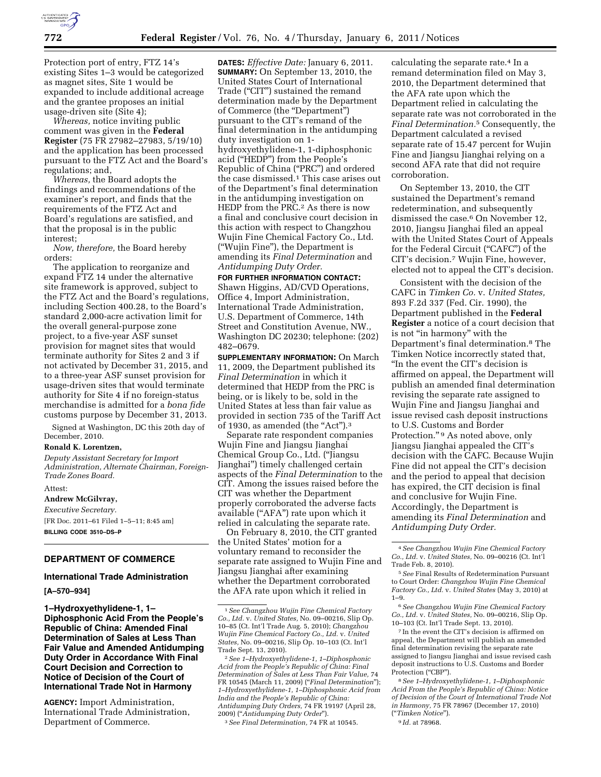

Protection port of entry, FTZ 14's existing Sites 1–3 would be categorized as magnet sites, Site 1 would be expanded to include additional acreage and the grantee proposes an initial usage-driven site (Site 4);

*Whereas,* notice inviting public comment was given in the **Federal Register** (75 FR 27982–27983, 5/19/10) and the application has been processed pursuant to the FTZ Act and the Board's regulations; and,

*Whereas,* the Board adopts the findings and recommendations of the examiner's report, and finds that the requirements of the FTZ Act and Board's regulations are satisfied, and that the proposal is in the public interest;

*Now, therefore,* the Board hereby orders:

The application to reorganize and expand FTZ 14 under the alternative site framework is approved, subject to the FTZ Act and the Board's regulations, including Section 400.28, to the Board's standard 2,000-acre activation limit for the overall general-purpose zone project, to a five-year ASF sunset provision for magnet sites that would terminate authority for Sites 2 and 3 if not activated by December 31, 2015, and to a three-year ASF sunset provision for usage-driven sites that would terminate authority for Site 4 if no foreign-status merchandise is admitted for a *bona fide*  customs purpose by December 31, 2013.

Signed at Washington, DC this 20th day of December, 2010.

#### **Ronald K. Lorentzen,**

*Deputy Assistant Secretary for Import Administration, Alternate Chairman, Foreign-Trade Zones Board.* 

Attest:

**Andrew McGilvray,**  *Executive Secretary.*  [FR Doc. 2011–61 Filed 1–5–11; 8:45 am] **BILLING CODE 3510–DS–P** 

## **DEPARTMENT OF COMMERCE**

#### **International Trade Administration**

### **[A–570–934]**

**1–Hydroxyethylidene-1, 1– Diphosphonic Acid From the People's Republic of China: Amended Final Determination of Sales at Less Than Fair Value and Amended Antidumping Duty Order in Accordance With Final Court Decision and Correction to Notice of Decision of the Court of International Trade Not in Harmony** 

**AGENCY:** Import Administration, International Trade Administration, Department of Commerce.

**DATES:** *Effective Date:* January 6, 2011. **SUMMARY:** On September 13, 2010, the United States Court of International Trade (''CIT'') sustained the remand determination made by the Department of Commerce (the ''Department'') pursuant to the CIT's remand of the final determination in the antidumping duty investigation on 1 hydroxyethylidene-1, 1-diphosphonic acid (''HEDP'') from the People's Republic of China (''PRC'') and ordered the case dismissed.1 This case arises out of the Department's final determination in the antidumping investigation on HEDP from the PRC.2 As there is now a final and conclusive court decision in this action with respect to Changzhou Wujin Fine Chemical Factory Co., Ltd. (''Wujin Fine''), the Department is amending its *Final Determination* and *Antidumping Duty Order.* 

#### **FOR FURTHER INFORMATION CONTACT:**

Shawn Higgins, AD/CVD Operations, Office 4, Import Administration, International Trade Administration, U.S. Department of Commerce, 14th Street and Constitution Avenue, NW., Washington DC 20230; telephone: (202) 482–0679.

**SUPPLEMENTARY INFORMATION:** On March 11, 2009, the Department published its *Final Determination* in which it determined that HEDP from the PRC is being, or is likely to be, sold in the United States at less than fair value as provided in section 735 of the Tariff Act of 1930, as amended (the "Act"). $3$ 

Separate rate respondent companies Wujin Fine and Jiangsu Jianghai Chemical Group Co., Ltd. (''Jiangsu Jianghai'') timely challenged certain aspects of the *Final Determination* to the CIT. Among the issues raised before the CIT was whether the Department properly corroborated the adverse facts available (''AFA'') rate upon which it relied in calculating the separate rate.

On February 8, 2010, the CIT granted the United States' motion for a voluntary remand to reconsider the separate rate assigned to Wujin Fine and Jiangsu Jianghai after examining whether the Department corroborated the AFA rate upon which it relied in

3*See Final Determination,* 74 FR at 10545.

calculating the separate rate.<sup>4</sup> In a remand determination filed on May 3, 2010, the Department determined that the AFA rate upon which the Department relied in calculating the separate rate was not corroborated in the *Final Determination.*5 Consequently, the Department calculated a revised separate rate of 15.47 percent for Wujin Fine and Jiangsu Jianghai relying on a second AFA rate that did not require corroboration.

On September 13, 2010, the CIT sustained the Department's remand redetermination, and subsequently dismissed the case.6 On November 12, 2010, Jiangsu Jianghai filed an appeal with the United States Court of Appeals for the Federal Circuit ("CAFC") of the CIT's decision.7 Wujin Fine, however, elected not to appeal the CIT's decision.

Consistent with the decision of the CAFC in *Timken Co.* v. *United States,*  893 F.2d 337 (Fed. Cir. 1990), the Department published in the **Federal Register** a notice of a court decision that is not ''in harmony'' with the Department's final determination.8 The Timken Notice incorrectly stated that, ''In the event the CIT's decision is affirmed on appeal, the Department will publish an amended final determination revising the separate rate assigned to Wujin Fine and Jiangsu Jianghai and issue revised cash deposit instructions to U.S. Customs and Border Protection." <sup>9</sup> As noted above, only Jiangsu Jianghai appealed the CIT's decision with the CAFC. Because Wujin Fine did not appeal the CIT's decision and the period to appeal that decision has expired, the CIT decision is final and conclusive for Wujin Fine. Accordingly, the Department is amending its *Final Determination* and *Antidumping Duty Order.* 

7 In the event the CIT's decision is affirmed on appeal, the Department will publish an amended final determination revising the separate rate assigned to Jiangsu Jianghai and issue revised cash deposit instructions to U.S. Customs and Border Protection ("CBP").

8*See 1–Hydroxyethylidene-1, 1–Diphosphonic Acid From the People's Republic of China: Notice of Decision of the Court of International Trade Not in Harmony,* 75 FR 78967 (December 17, 2010) (''*Timken Notice*'').

#### 9 *Id.* at 78968.

<sup>1</sup>*See Changzhou Wujin Fine Chemical Factory Co., Ltd.* v. *United States,* No. 09–00216, Slip Op. 10–85 (Ct. Int'l Trade Aug. 5, 2010); *Changzhou Wujin Fine Chemical Factory Co., Ltd.* v. *United States,* No. 09–00216, Slip Op. 10–103 (Ct. Int'l Trade Sept. 13, 2010).

<sup>2</sup>*See 1–Hydroxyethylidene-1, 1–Diphosphonic Acid from the People's Republic of China: Final Determination of Sales at Less Than Fair Value,* 74 FR 10545 (March 11, 2009) (''*Final Determination*''); *1–Hydroxyethylidene-1, 1–Diphosphonic Acid from India and the People's Republic of China: Antidumping Duty Orders,* 74 FR 19197 (April 28, 2009) (''*Antidumping Duty Order*'').

<sup>4</sup>*See Changzhou Wujin Fine Chemical Factory Co., Ltd.* v. *United States,* No. 09–00216 (Ct. Int'l Trade Feb. 8, 2010).

<sup>5</sup>*See* Final Results of Redetermination Pursuant to Court Order: *Changzhou Wujin Fine Chemical Factory Co., Ltd.* v. *United States* (May 3, 2010) at 1–9.

<sup>6</sup>*See Changzhou Wujin Fine Chemical Factory Co., Ltd.* v. *United States,* No. 09–00216, Slip Op. 10–103 (Ct. Int'l Trade Sept. 13, 2010).